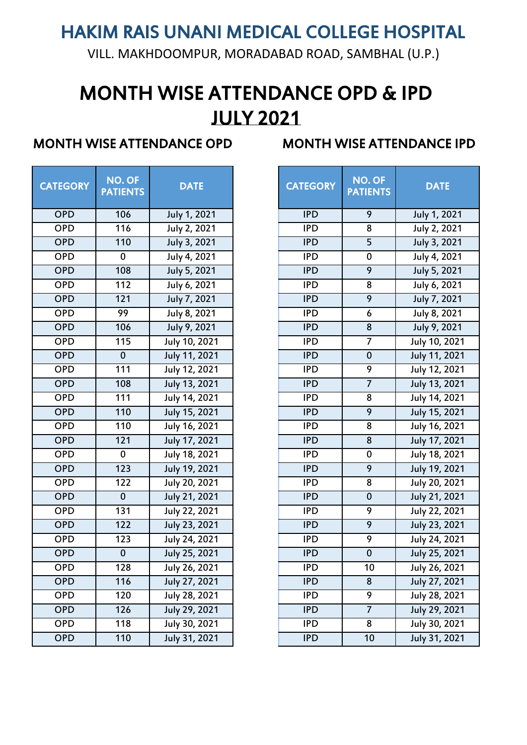VILL. MAKHDOOMPUR, MORADABAD ROAD, SAMBHAL (U.P.)

# MONTH WISE ATTENDANCE OPD & IPD JULY 2021

| <b>CATEGORY</b> | <b>NO. OF</b><br><b>PATIENTS</b> | <b>DATE</b>          | <b>CATEGORY</b> | NO. OF<br><b>PATIENT:</b> |
|-----------------|----------------------------------|----------------------|-----------------|---------------------------|
| <b>OPD</b>      | 106                              | July 1, 2021         | <b>IPD</b>      | 9                         |
| <b>OPD</b>      | 116                              | July 2, 2021         | <b>IPD</b>      | 8                         |
| <b>OPD</b>      | 110                              | July 3, 2021         | <b>IPD</b>      | $\overline{5}$            |
| <b>OPD</b>      | 0                                | July 4, 2021         | <b>IPD</b>      | $\mathbf 0$               |
| <b>OPD</b>      | 108                              | July 5, 2021         | <b>IPD</b>      | 9                         |
| <b>OPD</b>      | 112                              | July 6, 2021         | <b>IPD</b>      | 8                         |
| <b>OPD</b>      | 121                              | July 7, 2021         | <b>IPD</b>      | 9                         |
| <b>OPD</b>      | 99                               | July 8, 2021         | <b>IPD</b>      | 6                         |
| <b>OPD</b>      | 106                              | July 9, 2021         | <b>IPD</b>      | $\bf 8$                   |
| <b>OPD</b>      | 115                              | July 10, 2021        | <b>IPD</b>      | 7                         |
| <b>OPD</b>      | $\bf{0}$                         | July 11, 2021        | <b>IPD</b>      | $\pmb{0}$                 |
| <b>OPD</b>      | 111                              | July 12, 2021        | <b>IPD</b>      | 9                         |
| <b>OPD</b>      | 108                              | July 13, 2021        | <b>IPD</b>      | $\overline{7}$            |
| <b>OPD</b>      | 111                              | July 14, 2021        | <b>IPD</b>      | 8                         |
| <b>OPD</b>      | 110                              | <b>July 15, 2021</b> | <b>IPD</b>      | $\overline{9}$            |
| <b>OPD</b>      | 110                              | July 16, 2021        | <b>IPD</b>      | 8                         |
| <b>OPD</b>      | 121                              | July 17, 2021        | <b>IPD</b>      | 8                         |
| <b>OPD</b>      | 0                                | July 18, 2021        | <b>IPD</b>      | $\pmb{0}$                 |
| <b>OPD</b>      | 123                              | July 19, 2021        | <b>IPD</b>      | 9                         |
| <b>OPD</b>      | 122                              | July 20, 2021        | <b>IPD</b>      | 8                         |
| <b>OPD</b>      | $\mathbf 0$                      | July 21, 2021        | <b>IPD</b>      | $\bf{0}$                  |
| <b>OPD</b>      | 131                              | July 22, 2021        | <b>IPD</b>      | $\overline{9}$            |
| <b>OPD</b>      | 122                              | July 23, 2021        | <b>IPD</b>      | 9                         |
| <b>OPD</b>      | 123                              | July 24, 2021        | <b>IPD</b>      | 9                         |
| <b>OPD</b>      | $\bf{0}$                         | <b>July 25, 2021</b> | <b>IPD</b>      | $\pmb{0}$                 |
| OPD             | 128                              | July 26, 2021        | <b>IPD</b>      | 10                        |
| <b>OPD</b>      | 116                              | July 27, 2021        | <b>IPD</b>      | 8                         |
| <b>OPD</b>      | 120                              | July 28, 2021        | <b>IPD</b>      | $\overline{9}$            |
| <b>OPD</b>      | 126                              | July 29, 2021        | <b>IPD</b>      | $\overline{7}$            |
| <b>OPD</b>      | 118                              | July 30, 2021        | <b>IPD</b>      | 8                         |
| <b>OPD</b>      | 110                              | July 31, 2021        | <b>IPD</b>      | 10                        |

| <b>FEGORY</b> | NO. OF<br><b>PATIENTS</b> | <b>DATE</b>   | <b>CATEGORY</b> | NO. OF<br><b>PATIENTS</b> | <b>DATE</b>   |
|---------------|---------------------------|---------------|-----------------|---------------------------|---------------|
| <b>OPD</b>    | 106                       | July 1, 2021  | <b>IPD</b>      | 9                         | July 1, 2021  |
| OPD           | 116                       | July 2, 2021  | <b>IPD</b>      | 8                         | July 2, 2021  |
| OPD           | 110                       | July 3, 2021  | <b>IPD</b>      | $\overline{5}$            | July 3, 2021  |
| OPD           | $\mathbf 0$               | July 4, 2021  | <b>IPD</b>      | $\pmb{0}$                 | July 4, 2021  |
| OPD           | 108                       | July 5, 2021  | <b>IPD</b>      | 9                         | July 5, 2021  |
| OPD           | 112                       | July 6, 2021  | <b>IPD</b>      | 8                         | July 6, 2021  |
| OPD           | 121                       | July 7, 2021  | <b>IPD</b>      | 9                         | July 7, 2021  |
| OPD           | 99                        | July 8, 2021  | <b>IPD</b>      | $\boldsymbol{6}$          | July 8, 2021  |
| OPD           | 106                       | July 9, 2021  | <b>IPD</b>      | 8                         | July 9, 2021  |
| OPD           | 115                       | July 10, 2021 | <b>IPD</b>      | 7                         | July 10, 2021 |
| OPD           | $\mathbf 0$               | July 11, 2021 | <b>IPD</b>      | $\mathbf 0$               | July 11, 2021 |
| OPD           | 111                       | July 12, 2021 | <b>IPD</b>      | 9                         | July 12, 2021 |
| OPD           | 108                       | July 13, 2021 | <b>IPD</b>      | $\overline{7}$            | July 13, 2021 |
| OPD           | 111                       | July 14, 2021 | <b>IPD</b>      | 8                         | July 14, 2021 |
| OPD           | 110                       | July 15, 2021 | <b>IPD</b>      | $\overline{9}$            | July 15, 2021 |
| OPD           | 110                       | July 16, 2021 | <b>IPD</b>      | 8                         | July 16, 2021 |
| OPD           | 121                       | July 17, 2021 | <b>TPD</b>      | $\overline{8}$            | July 17, 2021 |
| OPD           | $\mathbf 0$               | July 18, 2021 | <b>IPD</b>      | $\mathbf 0$               | July 18, 2021 |
| OPD           | 123                       | July 19, 2021 | <b>IPD</b>      | 9                         | July 19, 2021 |
| OPD           | 122                       | July 20, 2021 | <b>IPD</b>      | 8                         | July 20, 2021 |
| OPD           | $\mathbf 0$               | July 21, 2021 | <b>IPD</b>      | $\bf 0$                   | July 21, 2021 |
| OPD           | 131                       | July 22, 2021 | <b>IPD</b>      | 9                         | July 22, 2021 |
| OPD           | 122                       | July 23, 2021 | <b>IPD</b>      | $\overline{9}$            | July 23, 2021 |
| OPD           | 123                       | July 24, 2021 | <b>IPD</b>      | 9                         | July 24, 2021 |
| <b>OPD</b>    | $\pmb{0}$                 | July 25, 2021 | <b>IPD</b>      | $\bf{0}$                  | July 25, 2021 |
| OPD           | 128                       | July 26, 2021 | <b>IPD</b>      | 10                        | July 26, 2021 |
| <b>OPD</b>    | 116                       | July 27, 2021 | <b>IPD</b>      | 8                         | July 27, 2021 |
| <b>OPD</b>    | 120                       | July 28, 2021 | <b>IPD</b>      | 9                         | July 28, 2021 |
| OPD           | 126                       | July 29, 2021 | <b>IPD</b>      | $\overline{7}$            | July 29, 2021 |
| OPD           | 118                       | July 30, 2021 | <b>IPD</b>      | 8                         | July 30, 2021 |
| <b>OPD</b>    | 110                       | July 31, 2021 | <b>IPD</b>      | 10                        | July 31, 2021 |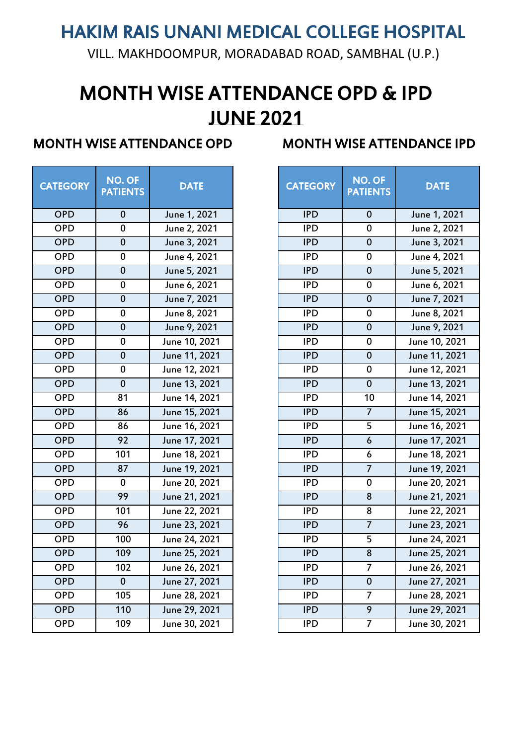VILL. MAKHDOOMPUR, MORADABAD ROAD, SAMBHAL (U.P.)

# MONTH WISE ATTENDANCE OPD & IPD JUNE 2021

| <b>CATEGORY</b> | <b>NO. OF</b><br><b>PATIENTS</b> | <b>DATE</b>   | <b>CATEGORY</b> | <b>NO. OF</b><br><b>PATIENTS</b> | <b>DATE</b>   |
|-----------------|----------------------------------|---------------|-----------------|----------------------------------|---------------|
| <b>OPD</b>      | $\bf{0}$                         | June 1, 2021  | <b>IPD</b>      | $\bf{0}$                         | June 1, 2021  |
| <b>OPD</b>      | $\overline{0}$                   | June 2, 2021  | IPD             | $\overline{0}$                   | June 2, 2021  |
| <b>OPD</b>      | $\overline{0}$                   | June 3, 2021  | <b>IPD</b>      | $\overline{0}$                   | June 3, 2021  |
| <b>OPD</b>      | $\overline{0}$                   | June 4, 2021  | IPD             | $\pmb{0}$                        | June 4, 2021  |
| OPD             | $\overline{0}$                   | June 5, 2021  | <b>IPD</b>      | $\overline{0}$                   | June 5, 2021  |
| OPD             | $\mathbf 0$                      | June 6, 2021  | <b>IPD</b>      | $\mathbf 0$                      | June 6, 2021  |
| OPD             | $\mathbf 0$                      | June 7, 2021  | <b>IPD</b>      | $\mathbf 0$                      | June 7, 2021  |
| OPD             | $\pmb{0}$                        | June 8, 2021  | <b>IPD</b>      | $\pmb{0}$                        | June 8, 2021  |
| <b>OPD</b>      | $\overline{0}$                   | June 9, 2021  | <b>IPD</b>      | $\mathbf 0$                      | June 9, 2021  |
| <b>OPD</b>      | $\pmb{0}$                        | June 10, 2021 | <b>IPD</b>      | ${\bf 0}$                        | June 10, 2021 |
| <b>OPD</b>      | $\pmb{0}$                        | June 11, 2021 | <b>IPD</b>      | $\pmb{0}$                        | June 11, 2021 |
| <b>OPD</b>      | $\pmb{0}$                        | June 12, 2021 | <b>IPD</b>      | $\pmb{0}$                        | June 12, 2021 |
| OPD             | $\overline{0}$                   | June 13, 2021 | <b>IPD</b>      | $\overline{0}$                   | June 13, 2021 |
| OPD             | 81                               | June 14, 2021 | <b>IPD</b>      | 10                               | June 14, 2021 |
| <b>OPD</b>      | 86                               | June 15, 2021 | <b>IPD</b>      | $\overline{7}$                   | June 15, 2021 |
| OPD             | $\overline{86}$                  | June 16, 2021 | IPD             | $\overline{5}$                   | June 16, 2021 |
| <b>OPD</b>      | $\overline{92}$                  | June 17, 2021 | <b>IPD</b>      | $\boldsymbol{6}$                 | June 17, 2021 |
| <b>OPD</b>      | 101                              | June 18, 2021 | <b>IPD</b>      | $\boldsymbol{6}$                 | June 18, 2021 |
| <b>OPD</b>      | 87                               | June 19, 2021 | <b>IPD</b>      | $\overline{7}$                   | June 19, 2021 |
| OPD             | $\overline{0}$                   | June 20, 2021 | IPD             | $\overline{0}$                   | June 20, 2021 |
| OPD             | 99                               | June 21, 2021 | <b>IPD</b>      | $\overline{8}$                   | June 21, 2021 |
| OPD             | 101                              | June 22, 2021 | IPD             | $\overline{8}$                   | June 22, 2021 |
| <b>OPD</b>      | 96                               | June 23, 2021 | <b>IPD</b>      | $\overline{7}$                   | June 23, 2021 |
| <b>OPD</b>      | 100                              | June 24, 2021 | <b>IPD</b>      | 5                                | June 24, 2021 |
| <b>OPD</b>      | 109                              | June 25, 2021 | <b>IPD</b>      | $\bf 8$                          | June 25, 2021 |
| <b>OPD</b>      | 102                              | June 26, 2021 | <b>IPD</b>      | $\overline{7}$                   | June 26, 2021 |
| <b>OPD</b>      | $\overline{0}$                   | June 27, 2021 | <b>IPD</b>      | $\mathbf 0$                      | June 27, 2021 |
| OPD             | 105                              | June 28, 2021 | <b>IPD</b>      | $\overline{7}$                   | June 28, 2021 |
| OPD             | 110                              | June 29, 2021 | <b>IPD</b>      | $\overline{9}$                   | June 29, 2021 |
| <b>OPD</b>      | 109                              | June 30, 2021 | <b>IPD</b>      | $\overline{7}$                   | June 30, 2021 |

| <b>FEGORY</b> | NO. OF<br><b>PATIENTS</b> | <b>DATE</b>   | NO. OF<br><b>CATEGORY</b><br><b>PATIENTS</b> |                  | <b>DATE</b>   |
|---------------|---------------------------|---------------|----------------------------------------------|------------------|---------------|
| OPD           | $\bf{0}$                  | June 1, 2021  | <b>IPD</b>                                   | $\pmb{0}$        | June 1, 2021  |
| OPD           | $\pmb{0}$                 | June 2, 2021  | <b>IPD</b>                                   | $\pmb{0}$        | June 2, 2021  |
| OPD           | $\mathbf 0$               | June 3, 2021  | <b>IPD</b>                                   | $\mathbf 0$      | June 3, 2021  |
| OPD           | $\pmb{0}$                 | June 4, 2021  | <b>IPD</b>                                   | $\bf{0}$         | June 4, 2021  |
| OPD           | $\pmb{0}$                 | June 5, 2021  | <b>IPD</b>                                   | $\pmb{0}$        | June 5, 2021  |
| OPD           | $\pmb{0}$                 | June 6, 2021  | <b>IPD</b>                                   | $\bf{0}$         | June 6, 2021  |
| OPD           | $\pmb{0}$                 | June 7, 2021  | <b>IPD</b>                                   | $\pmb{0}$        | June 7, 2021  |
| OPD           | $\pmb{0}$                 | June 8, 2021  | <b>IPD</b>                                   | $\bf{0}$         | June 8, 2021  |
| OPD           | $\mathbf 0$               | June 9, 2021  | <b>IPD</b>                                   | $\mathbf 0$      | June 9, 2021  |
| OPD           | $\pmb{0}$                 | June 10, 2021 | <b>IPD</b>                                   | $\pmb{0}$        | June 10, 2021 |
| OPD           | $\pmb{0}$                 | June 11, 2021 | <b>IPD</b>                                   | $\pmb{0}$        | June 11, 2021 |
| OPD           | $\pmb{0}$                 | June 12, 2021 | <b>IPD</b>                                   | $\bf{0}$         | June 12, 2021 |
| OPD           | $\pmb{0}$                 | June 13, 2021 | <b>IPD</b>                                   | $\pmb{0}$        | June 13, 2021 |
| OPD           | 81                        | June 14, 2021 | <b>IPD</b>                                   | 10               | June 14, 2021 |
| OPD           | 86                        | June 15, 2021 | <b>IPD</b>                                   | $\overline{7}$   | June 15, 2021 |
| OPD           | 86                        | June 16, 2021 | <b>IPD</b>                                   | 5                | June 16, 2021 |
| OPD           | 92                        | June 17, 2021 | <b>IPD</b>                                   | $\boldsymbol{6}$ | June 17, 2021 |
| OPD           | 101                       | June 18, 2021 | <b>IPD</b>                                   | 6                | June 18, 2021 |
| OPD           | 87                        | June 19, 2021 | <b>IPD</b>                                   | $\overline{7}$   | June 19, 2021 |
| OPD           | $\pmb{0}$                 | June 20, 2021 | <b>IPD</b>                                   | $\mathbf 0$      | June 20, 2021 |
| OPD           | 99                        | June 21, 2021 | <b>IPD</b>                                   | 8                | June 21, 2021 |
| <b>OPD</b>    | 101                       | June 22, 2021 | <b>IPD</b>                                   | 8                | June 22, 2021 |
| OPD           | 96                        | June 23, 2021 | <b>IPD</b>                                   | $\overline{7}$   | June 23, 2021 |
| OPD           | 100                       | June 24, 2021 | <b>IPD</b>                                   | 5                | June 24, 2021 |
| OPD           | 109                       | June 25, 2021 | <b>IPD</b>                                   | $\bf 8$          | June 25, 2021 |
| OPD           | 102                       | June 26, 2021 | <b>IPD</b>                                   | 7                | June 26, 2021 |
| OPD           | $\mathbf 0$               | June 27, 2021 | <b>IPD</b>                                   | $\bf{0}$         | June 27, 2021 |
| <b>OPD</b>    | 105                       | June 28, 2021 | <b>IPD</b>                                   | 7                | June 28, 2021 |
| <b>OPD</b>    | 110                       | June 29, 2021 | <b>IPD</b>                                   | $\overline{9}$   | June 29, 2021 |
| <b>OPD</b>    | 109                       | June 30, 2021 | <b>IPD</b>                                   | $\overline{7}$   | June 30, 2021 |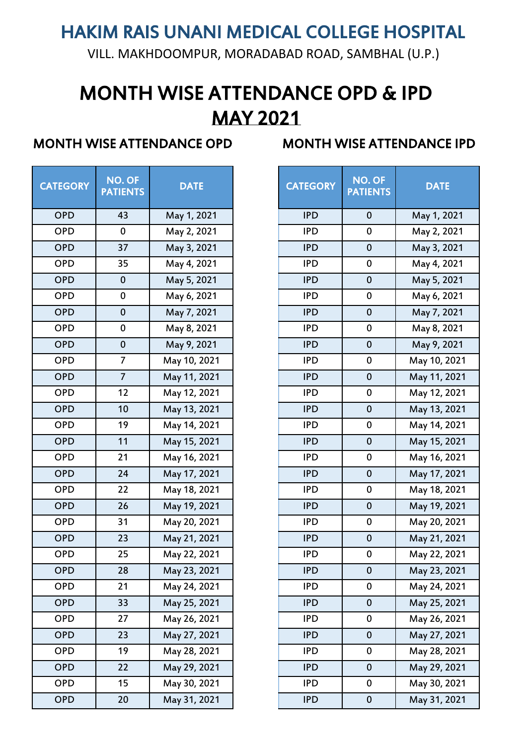VILL. MAKHDOOMPUR, MORADABAD ROAD, SAMBHAL (U.P.)

# MONTH WISE ATTENDANCE OPD & IPD MAY 2021

| <b>CATEGORY</b> | <b>NO. OF</b><br><b>PATIENTS</b> | <b>DATE</b>  | <b>CATEGORY</b> | <b>NO. OF</b><br><b>PATIENTS</b> |
|-----------------|----------------------------------|--------------|-----------------|----------------------------------|
| <b>OPD</b>      | 43                               | May 1, 2021  | <b>IPD</b>      | $\mathbf 0$                      |
| <b>OPD</b>      | $\mathbf 0$                      | May 2, 2021  | <b>IPD</b>      | $\mathbf 0$                      |
| <b>OPD</b>      | 37                               | May 3, 2021  | <b>IPD</b>      | $\mathbf 0$                      |
| <b>OPD</b>      | 35                               | May 4, 2021  | <b>IPD</b>      | $\mathbf 0$                      |
| <b>OPD</b>      | $\mathbf 0$                      | May 5, 2021  | <b>IPD</b>      | $\mathbf 0$                      |
| <b>OPD</b>      | $\pmb{0}$                        | May 6, 2021  | <b>IPD</b>      | $\mathbf 0$                      |
| <b>OPD</b>      | $\mathbf 0$                      | May 7, 2021  | <b>IPD</b>      | $\mathbf 0$                      |
| <b>OPD</b>      | $\bf{0}$                         | May 8, 2021  | <b>IPD</b>      | $\pmb{0}$                        |
| <b>OPD</b>      | $\mathbf 0$                      | May 9, 2021  | <b>IPD</b>      | $\mathbf 0$                      |
| <b>OPD</b>      | 7                                | May 10, 2021 | <b>IPD</b>      | $\pmb{0}$                        |
| <b>OPD</b>      | $\overline{7}$                   | May 11, 2021 | <b>IPD</b>      | $\mathbf 0$                      |
| <b>OPD</b>      | 12                               | May 12, 2021 | <b>IPD</b>      | $\pmb{0}$                        |
| <b>OPD</b>      | 10                               | May 13, 2021 | <b>IPD</b>      | $\mathbf 0$                      |
| <b>OPD</b>      | 19                               | May 14, 2021 | <b>IPD</b>      | $\pmb{0}$                        |
| <b>OPD</b>      | 11                               | May 15, 2021 | <b>IPD</b>      | $\pmb{0}$                        |
| <b>OPD</b>      | 21                               | May 16, 2021 | <b>IPD</b>      | $\pmb{0}$                        |
| <b>OPD</b>      | 24                               | May 17, 2021 | <b>IPD</b>      | $\mathbf 0$                      |
| <b>OPD</b>      | 22                               | May 18, 2021 | <b>IPD</b>      | $\mathbf 0$                      |
| <b>OPD</b>      | 26                               | May 19, 2021 | <b>IPD</b>      | $\mathbf 0$                      |
| <b>OPD</b>      | 31                               | May 20, 2021 | <b>IPD</b>      | $\pmb{0}$                        |
| <b>OPD</b>      | 23                               | May 21, 2021 | <b>IPD</b>      | $\mathbf 0$                      |
| <b>OPD</b>      | 25                               | May 22, 2021 | <b>IPD</b>      | $\pmb{0}$                        |
| <b>OPD</b>      | 28                               | May 23, 2021 | <b>IPD</b>      | $\bf{0}$                         |
| <b>OPD</b>      | 21                               | May 24, 2021 | <b>IPD</b>      | $\pmb{0}$                        |
| <b>OPD</b>      | 33                               | May 25, 2021 | <b>IPD</b>      | $\mathbf 0$                      |
| <b>OPD</b>      | 27                               | May 26, 2021 | <b>IPD</b>      | $\pmb{0}$                        |
| <b>OPD</b>      | 23                               | May 27, 2021 | <b>IPD</b>      | $\bf 0$                          |
| <b>OPD</b>      | 19                               | May 28, 2021 | <b>IPD</b>      | $\mathbf 0$                      |
| <b>OPD</b>      | 22                               | May 29, 2021 | <b>IPD</b>      | $\bf 0$                          |
| <b>OPD</b>      | 15                               | May 30, 2021 | <b>IPD</b>      | $\pmb{0}$                        |
| <b>OPD</b>      | 20                               | May 31, 2021 | <b>IPD</b>      | $\pmb{0}$                        |

| <b>FEGORY</b> | NO. OF<br><b>PATIENTS</b> | <b>DATE</b>  | <b>CATEGORY</b> | $N$ O. OF<br><b>PATIENTS</b> | <b>DATE</b>  |
|---------------|---------------------------|--------------|-----------------|------------------------------|--------------|
| <b>OPD</b>    | 43                        | May 1, 2021  | <b>IPD</b>      | $\mathbf 0$                  | May 1, 2021  |
| OPD           | $\pmb{0}$                 | May 2, 2021  | <b>IPD</b>      | $\pmb{0}$                    | May 2, 2021  |
| OPD           | 37                        | May 3, 2021  | <b>IPD</b>      | $\pmb{0}$                    | May 3, 2021  |
| OPD           | 35                        | May 4, 2021  | <b>IPD</b>      | $\pmb{0}$                    | May 4, 2021  |
| <b>OPD</b>    | $\pmb{0}$                 | May 5, 2021  | <b>IPD</b>      | $\bf{0}$                     | May 5, 2021  |
| OPD           | $\pmb{0}$                 | May 6, 2021  | <b>IPD</b>      | $\pmb{0}$                    | May 6, 2021  |
| OPD           | $\pmb{0}$                 | May 7, 2021  | <b>IPD</b>      | $\bf 0$                      | May 7, 2021  |
| OPD           | $\pmb{0}$                 | May 8, 2021  | <b>IPD</b>      | $\pmb{0}$                    | May 8, 2021  |
| OPD           | $\pmb{0}$                 | May 9, 2021  | <b>IPD</b>      | $\pmb{0}$                    | May 9, 2021  |
| OPD           | $\overline{7}$            | May 10, 2021 | <b>IPD</b>      | $\pmb{0}$                    | May 10, 2021 |
| OPD           | $\overline{7}$            | May 11, 2021 | <b>IPD</b>      | $\pmb{0}$                    | May 11, 2021 |
| OPD           | 12                        | May 12, 2021 | <b>IPD</b>      | $\pmb{0}$                    | May 12, 2021 |
| OPD           | 10                        | May 13, 2021 | <b>IPD</b>      | $\mathbf 0$                  | May 13, 2021 |
| <b>OPD</b>    | 19                        | May 14, 2021 | <b>IPD</b>      | $\pmb{0}$                    | May 14, 2021 |
| OPD           | 11                        | May 15, 2021 | <b>IPD</b>      | $\mathbf 0$                  | May 15, 2021 |
| <b>OPD</b>    | 21                        | May 16, 2021 | <b>IPD</b>      | $\pmb{0}$                    | May 16, 2021 |
| OPD           | 24                        | May 17, 2021 | <b>IPD</b>      | $\mathbf 0$                  | May 17, 2021 |
| <b>OPD</b>    | 22                        | May 18, 2021 | <b>IPD</b>      | $\pmb{0}$                    | May 18, 2021 |
| OPD           | 26                        | May 19, 2021 | <b>IPD</b>      | $\mathbf 0$                  | May 19, 2021 |
| <b>OPD</b>    | 31                        | May 20, 2021 | <b>IPD</b>      | $\pmb{0}$                    | May 20, 2021 |
| OPD           | 23                        | May 21, 2021 | <b>IPD</b>      | $\pmb{0}$                    | May 21, 2021 |
| OPD           | 25                        | May 22, 2021 | <b>IPD</b>      | $\pmb{0}$                    | May 22, 2021 |
| <b>OPD</b>    | 28                        | May 23, 2021 | <b>IPD</b>      | $\bf{0}$                     | May 23, 2021 |
| <b>OPD</b>    | 21                        | May 24, 2021 | <b>IPD</b>      | $\pmb{0}$                    | May 24, 2021 |
| <b>OPD</b>    | 33                        | May 25, 2021 | <b>IPD</b>      | $\bf{0}$                     | May 25, 2021 |
| <b>OPD</b>    | 27                        | May 26, 2021 | <b>IPD</b>      | $\pmb{0}$                    | May 26, 2021 |
| <b>OPD</b>    | 23                        | May 27, 2021 | <b>IPD</b>      | $\pmb{0}$                    | May 27, 2021 |
| OPD           | 19                        | May 28, 2021 | <b>IPD</b>      | $\pmb{0}$                    | May 28, 2021 |
| <b>OPD</b>    | 22                        | May 29, 2021 | <b>IPD</b>      | $\pmb{0}$                    | May 29, 2021 |
| <b>OPD</b>    | 15                        | May 30, 2021 | <b>IPD</b>      | $\pmb{0}$                    | May 30, 2021 |
| <b>OPD</b>    | 20                        | May 31, 2021 | <b>IPD</b>      | $\pmb{0}$                    | May 31, 2021 |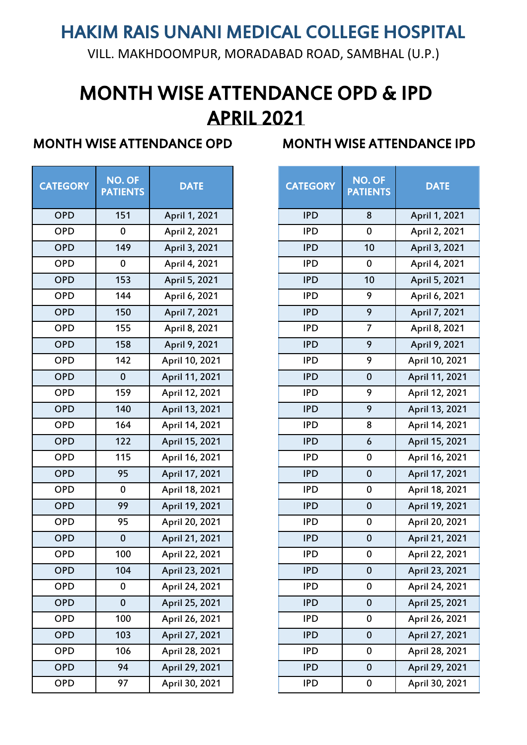VILL. MAKHDOOMPUR, MORADABAD ROAD, SAMBHAL (U.P.)

# MONTH WISE ATTENDANCE OPD & IPD APRIL 2021

| <b>CATEGORY</b> | NO. OF<br><b>PATIENTS</b> | <b>DATE</b>    | <b>CATEGORY</b> | NO. OF<br><b>PATIENTS</b> |
|-----------------|---------------------------|----------------|-----------------|---------------------------|
| <b>OPD</b>      | 151                       | April 1, 2021  | <b>IPD</b>      | 8                         |
| <b>OPD</b>      | $\mathbf 0$               | April 2, 2021  | <b>IPD</b>      | $\mathbf 0$               |
| <b>OPD</b>      | 149                       | April 3, 2021  | <b>IPD</b>      | 10                        |
| <b>OPD</b>      | $\mathbf 0$               | April 4, 2021  | <b>IPD</b>      | $\mathbf 0$               |
| <b>OPD</b>      | 153                       | April 5, 2021  | <b>IPD</b>      | 10                        |
| <b>OPD</b>      | 144                       | April 6, 2021  | <b>IPD</b>      | 9                         |
| <b>OPD</b>      | 150                       | April 7, 2021  | <b>IPD</b>      | 9                         |
| <b>OPD</b>      | 155                       | April 8, 2021  | <b>IPD</b>      | 7                         |
| <b>OPD</b>      | 158                       | April 9, 2021  | <b>IPD</b>      | 9                         |
| <b>OPD</b>      | 142                       | April 10, 2021 | <b>IPD</b>      | 9                         |
| <b>OPD</b>      | $\bf{0}$                  | April 11, 2021 | <b>IPD</b>      | $\mathbf 0$               |
| <b>OPD</b>      | 159                       | April 12, 2021 | <b>IPD</b>      | 9                         |
| <b>OPD</b>      | 140                       | April 13, 2021 | <b>IPD</b>      | 9                         |
| <b>OPD</b>      | 164                       | April 14, 2021 | <b>IPD</b>      | 8                         |
| <b>OPD</b>      | 122                       | April 15, 2021 | <b>IPD</b>      | 6                         |
| <b>OPD</b>      | 115                       | April 16, 2021 | <b>IPD</b>      | $\pmb{0}$                 |
| <b>OPD</b>      | 95                        | April 17, 2021 | <b>IPD</b>      | $\mathbf 0$               |
| <b>OPD</b>      | $\mathbf 0$               | April 18, 2021 | <b>IPD</b>      | $\pmb{0}$                 |
| <b>OPD</b>      | 99                        | April 19, 2021 | <b>IPD</b>      | $\mathbf 0$               |
| <b>OPD</b>      | 95                        | April 20, 2021 | <b>IPD</b>      | $\pmb{0}$                 |
| <b>OPD</b>      | $\mathbf 0$               | April 21, 2021 | <b>IPD</b>      | $\mathbf 0$               |
| <b>OPD</b>      | 100                       | April 22, 2021 | <b>IPD</b>      | $\pmb{0}$                 |
| <b>OPD</b>      | 104                       | April 23, 2021 | <b>IPD</b>      | $\bf{0}$                  |
| <b>OPD</b>      | $\bf{0}$                  | April 24, 2021 | <b>IPD</b>      | $\pmb{0}$                 |
| <b>OPD</b>      | $\mathbf 0$               | April 25, 2021 | <b>IPD</b>      | $\mathbf 0$               |
| <b>OPD</b>      | 100                       | April 26, 2021 | <b>IPD</b>      | $\pmb{0}$                 |
| <b>OPD</b>      | 103                       | April 27, 2021 | <b>IPD</b>      | $\mathbf 0$               |
| <b>OPD</b>      | 106                       | April 28, 2021 | <b>IPD</b>      | $\mathbf 0$               |
| <b>OPD</b>      | 94                        | April 29, 2021 | <b>IPD</b>      | $\bf{0}$                  |
| <b>OPD</b>      | 97                        | April 30, 2021 | <b>IPD</b>      | $\pmb{0}$                 |

| <b>FEGORY</b> | NO. OF<br><b>PATIENTS</b> | <b>DATE</b>    | <b>CATEGORY</b> | NO. OF<br><b>PATIENTS</b> | <b>DATE</b>    |
|---------------|---------------------------|----------------|-----------------|---------------------------|----------------|
| <b>OPD</b>    | 151                       | April 1, 2021  | <b>IPD</b>      | 8                         | April 1, 2021  |
| OPD           | $\pmb{0}$                 | April 2, 2021  | <b>IPD</b>      | $\pmb{0}$                 | April 2, 2021  |
| <b>OPD</b>    | 149                       | April 3, 2021  | <b>IPD</b>      | 10                        | April 3, 2021  |
| OPD           | $\pmb{0}$                 | April 4, 2021  | <b>IPD</b>      | $\pmb{0}$                 | April 4, 2021  |
| OPD           | 153                       | April 5, 2021  | <b>IPD</b>      | 10                        | April 5, 2021  |
| OPD           | 144                       | April 6, 2021  | <b>IPD</b>      | 9                         | April 6, 2021  |
| OPD           | 150                       | April 7, 2021  | <b>IPD</b>      | 9                         | April 7, 2021  |
| OPD           | 155                       | April 8, 2021  | <b>IPD</b>      | $\overline{7}$            | April 8, 2021  |
| OPD           | 158                       | April 9, 2021  | <b>IPD</b>      | 9                         | April 9, 2021  |
| OPD           | 142                       | April 10, 2021 | <b>IPD</b>      | 9                         | April 10, 2021 |
| OPD           | $\pmb{0}$                 | April 11, 2021 | <b>IPD</b>      | $\mathbf 0$               | April 11, 2021 |
| OPD           | 159                       | April 12, 2021 | <b>IPD</b>      | 9                         | April 12, 2021 |
| OPD           | 140                       | April 13, 2021 | <b>IPD</b>      | 9                         | April 13, 2021 |
| <b>OPD</b>    | 164                       | April 14, 2021 | <b>IPD</b>      | 8                         | April 14, 2021 |
| OPD           | 122                       | April 15, 2021 | <b>IPD</b>      | 6                         | April 15, 2021 |
| <b>OPD</b>    | 115                       | April 16, 2021 | <b>IPD</b>      | $\pmb{0}$                 | April 16, 2021 |
| OPD           | 95                        | April 17, 2021 | <b>IPD</b>      | $\mathbf 0$               | April 17, 2021 |
| <b>OPD</b>    | $\mathbf 0$               | April 18, 2021 | <b>IPD</b>      | $\pmb{0}$                 | April 18, 2021 |
| OPD           | 99                        | April 19, 2021 | <b>IPD</b>      | $\mathbf 0$               | April 19, 2021 |
| <b>OPD</b>    | 95                        | April 20, 2021 | <b>IPD</b>      | $\pmb{0}$                 | April 20, 2021 |
| OPD           | $\pmb{0}$                 | April 21, 2021 | <b>IPD</b>      | $\mathbf 0$               | April 21, 2021 |
| <b>OPD</b>    | 100                       | April 22, 2021 | <b>IPD</b>      | $\pmb{0}$                 | April 22, 2021 |
| <b>OPD</b>    | 104                       | April 23, 2021 | <b>IPD</b>      | $\bf{0}$                  | April 23, 2021 |
| <b>OPD</b>    | 0                         | April 24, 2021 | <b>IPD</b>      | $\pmb{0}$                 | April 24, 2021 |
| <b>OPD</b>    | $\boldsymbol{0}$          | April 25, 2021 | <b>IPD</b>      | $\bf{0}$                  | April 25, 2021 |
| <b>OPD</b>    | 100                       | April 26, 2021 | <b>IPD</b>      | $\pmb{0}$                 | April 26, 2021 |
| <b>OPD</b>    | 103                       | April 27, 2021 | <b>IPD</b>      | $\pmb{0}$                 | April 27, 2021 |
| <b>OPD</b>    | 106                       | April 28, 2021 | <b>IPD</b>      | $\pmb{0}$                 | April 28, 2021 |
| <b>OPD</b>    | 94                        | April 29, 2021 | <b>IPD</b>      | $\bf{0}$                  | April 29, 2021 |
| <b>OPD</b>    | 97                        | April 30, 2021 | <b>IPD</b>      | $\pmb{0}$                 | April 30, 2021 |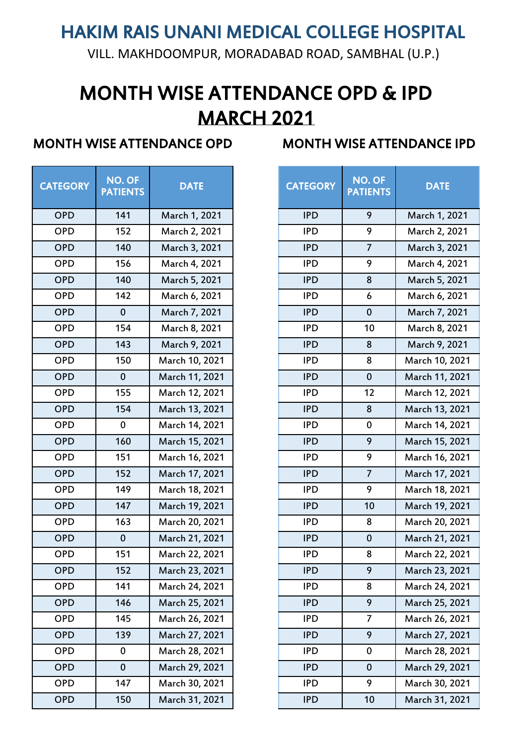VILL. MAKHDOOMPUR, MORADABAD ROAD, SAMBHAL (U.P.)

# MARCH 2021 MONTH WISE ATTENDANCE OPD & IPD

| <b>CATEGORY</b> | <b>NO. OF</b><br><b>PATIENTS</b> | <b>DATE</b>    | <b>CATEGORY</b> | <b>NO. OF</b><br><b>PATIENT:</b> |
|-----------------|----------------------------------|----------------|-----------------|----------------------------------|
| <b>OPD</b>      | 141                              | March 1, 2021  | <b>IPD</b>      | 9                                |
| <b>OPD</b>      | 152                              | March 2, 2021  | <b>IPD</b>      | 9                                |
| <b>OPD</b>      | 140                              | March 3, 2021  | <b>IPD</b>      | $\overline{7}$                   |
| <b>OPD</b>      | 156                              | March 4, 2021  | <b>IPD</b>      | 9                                |
| <b>OPD</b>      | 140                              | March 5, 2021  | <b>IPD</b>      | $\bf 8$                          |
| <b>OPD</b>      | 142                              | March 6, 2021  | <b>IPD</b>      | 6                                |
| <b>OPD</b>      | $\mathbf 0$                      | March 7, 2021  | <b>IPD</b>      | $\mathbf 0$                      |
| <b>OPD</b>      | 154                              | March 8, 2021  | <b>IPD</b>      | 10                               |
| <b>OPD</b>      | 143                              | March 9, 2021  | <b>IPD</b>      | 8                                |
| <b>OPD</b>      | 150                              | March 10, 2021 | <b>IPD</b>      | 8                                |
| <b>OPD</b>      | $\mathbf 0$                      | March 11, 2021 | <b>IPD</b>      | $\mathbf 0$                      |
| <b>OPD</b>      | 155                              | March 12, 2021 | <b>IPD</b>      | 12                               |
| <b>OPD</b>      | 154                              | March 13, 2021 | <b>IPD</b>      | 8                                |
| <b>OPD</b>      | $\mathbf 0$                      | March 14, 2021 | <b>IPD</b>      | $\mathbf 0$                      |
| <b>OPD</b>      | 160                              | March 15, 2021 | <b>IPD</b>      | 9                                |
| <b>OPD</b>      | 151                              | March 16, 2021 | <b>IPD</b>      | 9                                |
| <b>OPD</b>      | 152                              | March 17, 2021 | <b>IPD</b>      | $\overline{7}$                   |
| <b>OPD</b>      | 149                              | March 18, 2021 | <b>IPD</b>      | 9                                |
| <b>OPD</b>      | 147                              | March 19, 2021 | <b>IPD</b>      | 10                               |
| <b>OPD</b>      | 163                              | March 20, 2021 | <b>IPD</b>      | 8                                |
| <b>OPD</b>      | $\mathbf{0}$                     | March 21, 2021 | <b>IPD</b>      | $\pmb{0}$                        |
| <b>OPD</b>      | 151                              | March 22, 2021 | <b>IPD</b>      | 8                                |
| <b>OPD</b>      | 152                              | March 23, 2021 | <b>IPD</b>      | 9                                |
| <b>OPD</b>      | 141                              | March 24, 2021 | <b>IPD</b>      | 8                                |
| <b>OPD</b>      | 146                              | March 25, 2021 | <b>IPD</b>      | 9                                |
| <b>OPD</b>      | 145                              | March 26, 2021 | <b>IPD</b>      | 7                                |
| <b>OPD</b>      | 139                              | March 27, 2021 | <b>IPD</b>      | 9                                |
| <b>OPD</b>      | $\pmb{0}$                        | March 28, 2021 | <b>IPD</b>      | $\pmb{0}$                        |
| <b>OPD</b>      | $\pmb{0}$                        | March 29, 2021 | <b>IPD</b>      | $\mathbf 0$                      |
| <b>OPD</b>      | 147                              | March 30, 2021 | <b>IPD</b>      | 9                                |
| <b>OPD</b>      | 150                              | March 31, 2021 | <b>IPD</b>      | 10                               |

| <b>FEGORY</b> | NO. OF<br><b>PATIENTS</b> | <b>DATE</b>    | <b>CATEGORY</b> | NO. OF<br><b>PATIENTS</b> | <b>DATE</b>    |
|---------------|---------------------------|----------------|-----------------|---------------------------|----------------|
| OPD           | 141                       | March 1, 2021  | <b>IPD</b>      | 9                         | March 1, 2021  |
| OPD           | 152                       | March 2, 2021  | <b>IPD</b>      | 9                         | March 2, 2021  |
| OPD           | 140                       | March 3, 2021  | <b>IPD</b>      | $\overline{7}$            | March 3, 2021  |
| OPD           | 156                       | March 4, 2021  | <b>IPD</b>      | 9                         | March 4, 2021  |
| <b>OPD</b>    | 140                       | March 5, 2021  | <b>IPD</b>      | 8                         | March 5, 2021  |
| OPD           | 142                       | March 6, 2021  | <b>IPD</b>      | $\boldsymbol{6}$          | March 6, 2021  |
| OPD           | $\pmb{0}$                 | March 7, 2021  | <b>IPD</b>      | $\mathbf 0$               | March 7, 2021  |
| OPD           | 154                       | March 8, 2021  | <b>IPD</b>      | 10                        | March 8, 2021  |
| OPD           | 143                       | March 9, 2021  | <b>IPD</b>      | 8                         | March 9, 2021  |
| OPD           | 150                       | March 10, 2021 | <b>IPD</b>      | 8                         | March 10, 2021 |
| OPD           | $\pmb{0}$                 | March 11, 2021 | <b>IPD</b>      | $\mathbf 0$               | March 11, 2021 |
| OPD           | 155                       | March 12, 2021 | <b>IPD</b>      | 12                        | March 12, 2021 |
| OPD           | 154                       | March 13, 2021 | <b>IPD</b>      | 8                         | March 13, 2021 |
| OPD           | $\mathbf 0$               | March 14, 2021 | <b>IPD</b>      | $\pmb{0}$                 | March 14, 2021 |
| OPD           | 160                       | March 15, 2021 | <b>IPD</b>      | 9                         | March 15, 2021 |
| OPD           | 151                       | March 16, 2021 | <b>IPD</b>      | 9                         | March 16, 2021 |
| OPD           | 152                       | March 17, 2021 | <b>IPD</b>      | $\overline{7}$            | March 17, 2021 |
| <b>OPD</b>    | 149                       | March 18, 2021 | <b>IPD</b>      | 9                         | March 18, 2021 |
| OPD           | 147                       | March 19, 2021 | <b>IPD</b>      | 10                        | March 19, 2021 |
| <b>OPD</b>    | 163                       | March 20, 2021 | <b>IPD</b>      | 8                         | March 20, 2021 |
| OPD           | $\pmb{0}$                 | March 21, 2021 | <b>IPD</b>      | $\pmb{0}$                 | March 21, 2021 |
| <b>OPD</b>    | 151                       | March 22, 2021 | <b>IPD</b>      | 8                         | March 22, 2021 |
| <b>OPD</b>    | 152                       | March 23, 2021 | <b>IPD</b>      | 9                         | March 23, 2021 |
| OPD           | 141                       | March 24, 2021 | <b>IPD</b>      | 8                         | March 24, 2021 |
| <b>OPD</b>    | 146                       | March 25, 2021 | <b>IPD</b>      | 9                         | March 25, 2021 |
| OPD           | 145                       | March 26, 2021 | <b>IPD</b>      | $\overline{7}$            | March 26, 2021 |
| <b>OPD</b>    | 139                       | March 27, 2021 | <b>IPD</b>      | 9                         | March 27, 2021 |
| OPD           | $\pmb{0}$                 | March 28, 2021 | <b>IPD</b>      | $\pmb{0}$                 | March 28, 2021 |
| <b>OPD</b>    | $\pmb{0}$                 | March 29, 2021 | <b>IPD</b>      | $\pmb{0}$                 | March 29, 2021 |
| OPD           | 147                       | March 30, 2021 | <b>IPD</b>      | 9                         | March 30, 2021 |
| <b>OPD</b>    | 150                       | March 31, 2021 | <b>IPD</b>      | 10                        | March 31, 2021 |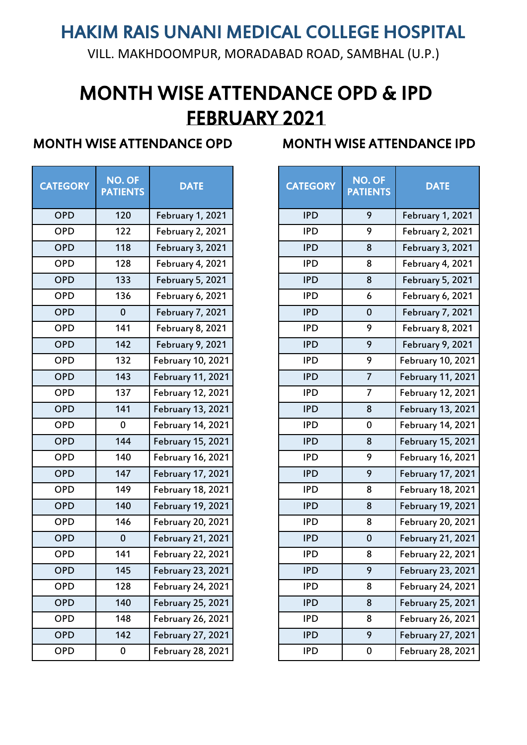VILL. MAKHDOOMPUR, MORADABAD ROAD, SAMBHAL (U.P.)

# MONTH WISE ATTENDANCE OPD & IPD FEBRUARY 2021

| <b>CATEGORY</b> | <b>NO. OF</b><br><b>PATIENTS</b> | <b>DATE</b>              | <b>CATEGORY</b> | <b>PATIENTS</b> |
|-----------------|----------------------------------|--------------------------|-----------------|-----------------|
| <b>OPD</b>      | 120                              | February 1, 2021         | <b>IPD</b>      |                 |
| <b>OPD</b>      | 122                              | <b>February 2, 2021</b>  | <b>IPD</b>      |                 |
| <b>OPD</b>      | 118                              | <b>February 3, 2021</b>  | <b>IPD</b>      |                 |
| <b>OPD</b>      | 128                              | <b>February 4, 2021</b>  | <b>IPD</b>      |                 |
| <b>OPD</b>      | 133                              | <b>February 5, 2021</b>  | <b>IPD</b>      |                 |
| <b>OPD</b>      | 136                              | February 6, 2021         | <b>IPD</b>      |                 |
| <b>OPD</b>      | $\mathbf 0$                      | <b>February 7, 2021</b>  | <b>IPD</b>      |                 |
| <b>OPD</b>      | 141                              | <b>February 8, 2021</b>  | <b>IPD</b>      |                 |
| <b>OPD</b>      | 142                              | <b>February 9, 2021</b>  | <b>IPD</b>      |                 |
| <b>OPD</b>      | 132                              | February 10, 2021        | <b>IPD</b>      |                 |
| <b>OPD</b>      | 143                              | <b>February 11, 2021</b> | <b>IPD</b>      |                 |
| <b>OPD</b>      | 137                              | <b>February 12, 2021</b> | <b>IPD</b>      |                 |
| <b>OPD</b>      | 141                              | <b>February 13, 2021</b> | <b>IPD</b>      |                 |
| <b>OPD</b>      | $\mathbf 0$                      | <b>February 14, 2021</b> | <b>IPD</b>      |                 |
| <b>OPD</b>      | 144                              | <b>February 15, 2021</b> | <b>IPD</b>      |                 |
| <b>OPD</b>      | 140                              | February 16, 2021        | <b>IPD</b>      |                 |
| <b>OPD</b>      | 147                              | February 17, 2021        | <b>IPD</b>      |                 |
| <b>OPD</b>      | 149                              | <b>February 18, 2021</b> | <b>IPD</b>      |                 |
| <b>OPD</b>      | 140                              | <b>February 19, 2021</b> | <b>IPD</b>      |                 |
| <b>OPD</b>      | 146                              | <b>February 20, 2021</b> | <b>IPD</b>      |                 |
| <b>OPD</b>      | $\boldsymbol{0}$                 | <b>February 21, 2021</b> | <b>IPD</b>      |                 |
| <b>OPD</b>      | 141                              | <b>February 22, 2021</b> | <b>IPD</b>      |                 |
| <b>OPD</b>      | 145                              | <b>February 23, 2021</b> | <b>IPD</b>      |                 |
| <b>OPD</b>      | 128                              | <b>February 24, 2021</b> | <b>IPD</b>      |                 |
| <b>OPD</b>      | 140                              | <b>February 25, 2021</b> | <b>IPD</b>      |                 |
| <b>OPD</b>      | 148                              | <b>February 26, 2021</b> | <b>IPD</b>      |                 |
| <b>OPD</b>      | 142                              | <b>February 27, 2021</b> | <b>IPD</b>      |                 |
| <b>OPD</b>      | 0                                | <b>February 28, 2021</b> | <b>IPD</b>      |                 |
|                 |                                  |                          |                 |                 |

| <b>FEGORY</b> | NO. OF<br><b>PATIENTS</b> | <b>DATE</b>              | <b>CATEGORY</b> | NO. OF<br><b>PATIENTS</b> | <b>DATE</b>              |
|---------------|---------------------------|--------------------------|-----------------|---------------------------|--------------------------|
| <b>OPD</b>    | 120                       | February 1, 2021         | <b>IPD</b>      | 9                         | <b>February 1, 2021</b>  |
| OPD           | 122                       | <b>February 2, 2021</b>  | <b>IPD</b>      | 9                         | <b>February 2, 2021</b>  |
| OPD           | 118                       | <b>February 3, 2021</b>  | <b>IPD</b>      | 8                         | <b>February 3, 2021</b>  |
| OPD           | 128                       | <b>February 4, 2021</b>  | <b>IPD</b>      | 8                         | <b>February 4, 2021</b>  |
| OPD           | 133                       | <b>February 5, 2021</b>  | <b>IPD</b>      | 8                         | <b>February 5, 2021</b>  |
| OPD           | 136                       | <b>February 6, 2021</b>  | <b>IPD</b>      | 6                         | <b>February 6, 2021</b>  |
| OPD           | $\mathbf{0}$              | <b>February 7, 2021</b>  | <b>IPD</b>      | $\mathbf 0$               | <b>February 7, 2021</b>  |
| OPD           | 141                       | <b>February 8, 2021</b>  | <b>IPD</b>      | 9                         | <b>February 8, 2021</b>  |
| OPD           | 142                       | <b>February 9, 2021</b>  | <b>IPD</b>      | 9                         | <b>February 9, 2021</b>  |
| OPD           | 132                       | <b>February 10, 2021</b> | <b>IPD</b>      | 9                         | <b>February 10, 2021</b> |
| OPD           | 143                       | <b>February 11, 2021</b> | <b>IPD</b>      | 7                         | <b>February 11, 2021</b> |
| OPD           | 137                       | <b>February 12, 2021</b> | <b>IPD</b>      | 7                         | <b>February 12, 2021</b> |
| OPD           | 141                       | <b>February 13, 2021</b> | <b>IPD</b>      | 8                         | <b>February 13, 2021</b> |
| <b>OPD</b>    | $\mathbf 0$               | <b>February 14, 2021</b> | <b>IPD</b>      | $\pmb{0}$                 | <b>February 14, 2021</b> |
| OPD           | 144                       | <b>February 15, 2021</b> | <b>IPD</b>      | 8                         | <b>February 15, 2021</b> |
| <b>OPD</b>    | 140                       | <b>February 16, 2021</b> | <b>IPD</b>      | 9                         | February 16, 2021        |
| OPD           | 147                       | <b>February 17, 2021</b> | <b>IPD</b>      | 9                         | February 17, 2021        |
| OPD           | 149                       | <b>February 18, 2021</b> | <b>IPD</b>      | 8                         | <b>February 18, 2021</b> |
| OPD           | 140                       | <b>February 19, 2021</b> | <b>IPD</b>      | 8                         | <b>February 19, 2021</b> |
| <b>OPD</b>    | 146                       | <b>February 20, 2021</b> | <b>IPD</b>      | 8                         | <b>February 20, 2021</b> |
| OPD           | $\pmb{0}$                 | <b>February 21, 2021</b> | <b>IPD</b>      | $\bf{0}$                  | <b>February 21, 2021</b> |
| <b>OPD</b>    | 141                       | <b>February 22, 2021</b> | <b>IPD</b>      | 8                         | <b>February 22, 2021</b> |
| <b>OPD</b>    | 145                       | <b>February 23, 2021</b> | <b>IPD</b>      | 9                         | <b>February 23, 2021</b> |
| OPD           | 128                       | <b>February 24, 2021</b> | <b>IPD</b>      | 8                         | <b>February 24, 2021</b> |
| <b>OPD</b>    | 140                       | <b>February 25, 2021</b> | <b>IPD</b>      | 8                         | <b>February 25, 2021</b> |
| <b>OPD</b>    | 148                       | <b>February 26, 2021</b> | <b>IPD</b>      | 8                         | <b>February 26, 2021</b> |
| OPD           | 142                       | <b>February 27, 2021</b> | <b>IPD</b>      | 9                         | February 27, 2021        |
| <b>OPD</b>    | $\pmb{0}$                 | <b>February 28, 2021</b> | <b>IPD</b>      | $\pmb{0}$                 | February 28, 2021        |